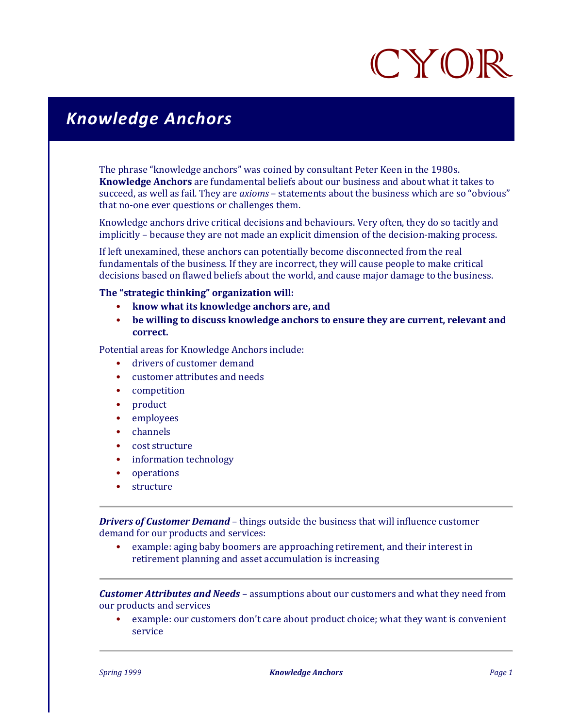## CYOR

## *Knowledge Anchors*

The phrase "knowledge anchors" was coined by consultant Peter Keen in the 1980s. **Knowledge Anchors** are fundamental beliefs about our business and about what it takes to succeed, as well as fail. They are *axioms* – statements about the business which are so "obvious" that no-one ever questions or challenges them.

Knowledge anchors drive critical decisions and behaviours. Very often, they do so tacitly and implicitly – because they are not made an explicit dimension of the decision-making process.

If left unexamined, these anchors can potentially become disconnected from the real fundamentals of the business. If they are incorrect, they will cause people to make critical decisions based on flawed beliefs about the world, and cause major damage to the business.

## **The "strategic thinking" organization will:**

- **know what its knowledge anchors are, and**
- **be willing to discuss knowledge anchors to ensure they are current, relevant and correct.**

Potential areas for Knowledge Anchors include:

- drivers of customer demand
- customer attributes and needs
- competition
- product
- employees
- channels
- cost structure
- information technology
- operations
- **structure**

*Drivers of Customer Demand* – things outside the business that will influence customer demand for our products and services:

• example: aging baby boomers are approaching retirement, and their interest in retirement planning and asset accumulation is increasing

*Customer Attributes and Needs* – assumptions about our customers and what they need from our products and services

• example: our customers don't care about product choice; what they want is convenient service